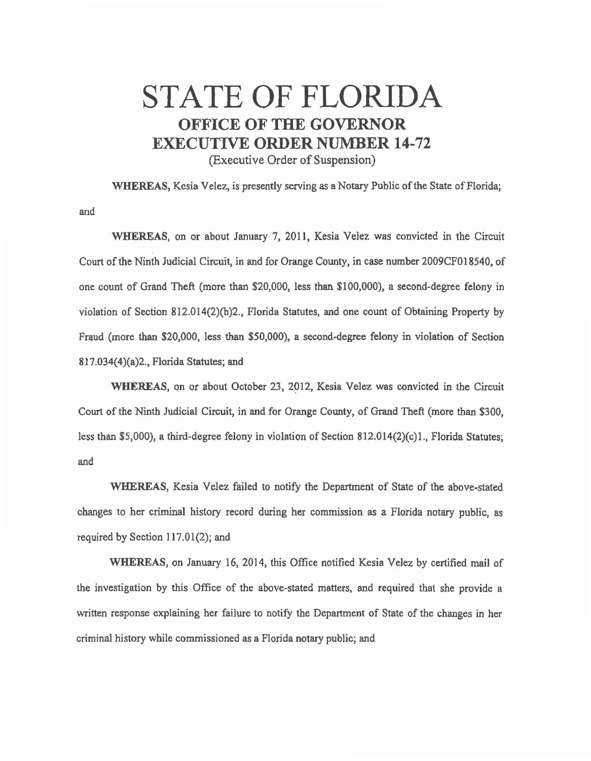## STATE OF FLORIDA OFFICE OF THE GOVERNOR EXECUTIVE ORDER NUMBER 14-72

(Executive Order of Suspension)

WHEREAS, Kesia Velez, is presently serving as a Notary Public of the State of Florida; and

WHEREAS, on or about January 7, 2011, Kesia Velez was convicted in the Circuit Court of the Ninth Judicial Circuit, in and for Orange County, in case number 2009CF018540, of one count of Grand Theft (more than \$20,000, less than \$100,000), a second-degree felony in violation of Section 812.014(2)(b)2., Florida Statutes, and one count of Obtaining Property by Fraud (more than \$20,000, less than \$50,000), a second-degree felony in violation of Section 817.034(4)(a)2., Florida Statutes; and

WHEREAS, on or about October 23, 2912, Kesia Velez was convicted in the Circuit Court of the Ninth Judicial Circuit, in and for Orange County, of Grand Theft (more than \$300, less than \$5,000), a third-degree felony in violation of Section 812.014(2)(c)l., Florida Statutes; and

WHEREAS, Kesia Velez failed to notify the Department of State of the above-stated changes to her criminal history record during her commission as a Florida notary public, as required by Section 117.01(2); and

WHEREAS, on January 16, 2014, this Office notified Kesia Velez by certified mail of the investigation by this Office of the above-stated matters, and required that she provide a written response explaining her failure to notify the Department of State of the changes in her criminal history while commissioned as a Florida notary public; and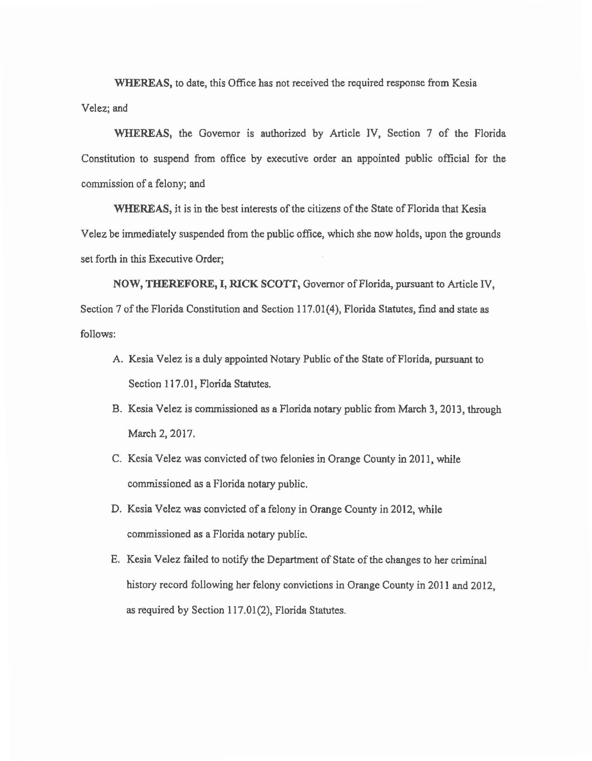WHEREAS, to date, this Office has not received the required response from Kesia

Velez; and

WHEREAS, the Governor is authorized by Article IV, Section 7 of the Florida Constitution to suspend from office by executive order an appointed public official for the commission of a felony; and

WHEREAS, it is in the best interests of the citizens of the State of Florida that Kesia Velez be immediately suspended from the public office, which she now holds, upon the grounds set forth in this Executive Order;

NOW, THEREFORE, I, RICK SCOTI, Governor of Florida, pursuant to Article IV, Section 7 of the Florida Constitution and Section 117.01(4), Florida Statutes, find and state as follows:

- A. Kesia Velez is a duly appointed Notary Public of the State of Florida, pursuant to Section 117.01, Florida Statutes.
- B. Kesia Velez is commissioned as a Florida notary public from March 3, 2013, through March 2, 2017.
- C. Kesia Velez was convicted of two felonies in Orange County in 2011, while commissioned as a Florida notary public.
- D. Kesia Velez was convicted of a felony in Orange County in2012, while commissioned as a Florida notary public.
- E. Kesia Velez failed to notify the Department of State of the changes to her criminal history record following her felony convictions in Orange County in 2011 and 2012, as required by Section 117.01(2), Florida Statutes.